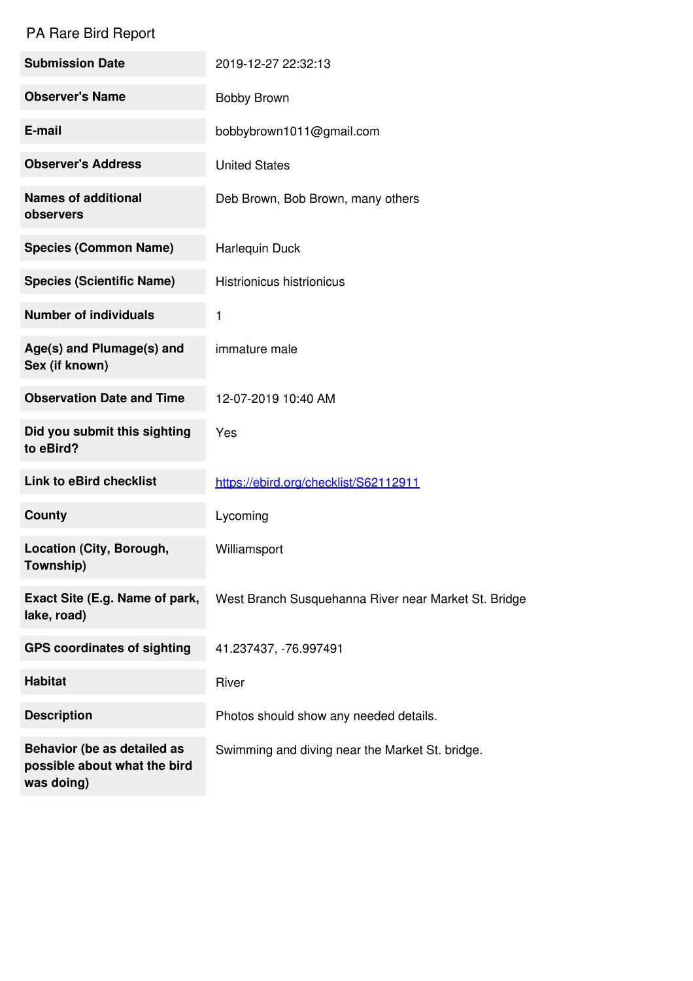## PA Rare Bird Report

| <b>Submission Date</b>                                                    | 2019-12-27 22:32:13                                  |
|---------------------------------------------------------------------------|------------------------------------------------------|
| <b>Observer's Name</b>                                                    | <b>Bobby Brown</b>                                   |
| E-mail                                                                    | bobbybrown1011@gmail.com                             |
| <b>Observer's Address</b>                                                 | <b>United States</b>                                 |
| <b>Names of additional</b><br>observers                                   | Deb Brown, Bob Brown, many others                    |
| <b>Species (Common Name)</b>                                              | Harlequin Duck                                       |
| <b>Species (Scientific Name)</b>                                          | <b>Histrionicus histrionicus</b>                     |
| <b>Number of individuals</b>                                              | 1                                                    |
| Age(s) and Plumage(s) and<br>Sex (if known)                               | immature male                                        |
| <b>Observation Date and Time</b>                                          | 12-07-2019 10:40 AM                                  |
| Did you submit this sighting<br>to eBird?                                 | Yes                                                  |
| <b>Link to eBird checklist</b>                                            | https://ebird.org/checklist/S62112911                |
| County                                                                    | Lycoming                                             |
| Location (City, Borough,<br>Township)                                     | Williamsport                                         |
| Exact Site (E.g. Name of park,<br>lake, road)                             | West Branch Susquehanna River near Market St. Bridge |
| <b>GPS coordinates of sighting</b>                                        | 41.237437, -76.997491                                |
| <b>Habitat</b>                                                            | River                                                |
| <b>Description</b>                                                        | Photos should show any needed details.               |
| Behavior (be as detailed as<br>possible about what the bird<br>was doing) | Swimming and diving near the Market St. bridge.      |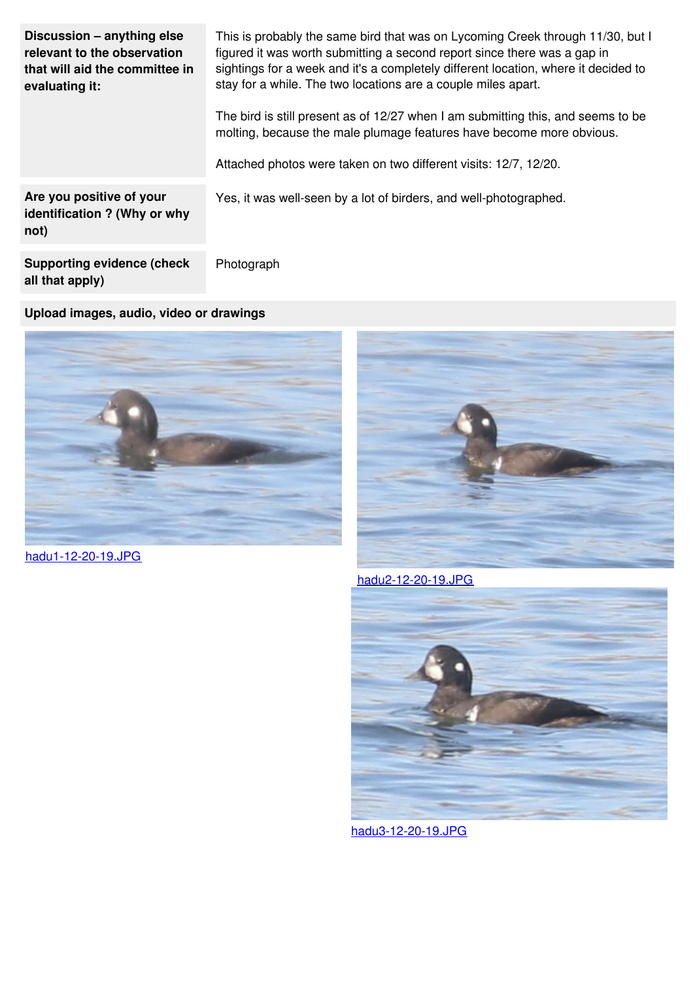| Discussion - anything else<br>relevant to the observation<br>that will aid the committee in<br>evaluating it: | This is probably the same bird that was on Lycoming Creek through 11/30, but I<br>figured it was worth submitting a second report since there was a gap in<br>sightings for a week and it's a completely different location, where it decided to<br>stay for a while. The two locations are a couple miles apart.<br>The bird is still present as of 12/27 when I am submitting this, and seems to be<br>molting, because the male plumage features have become more obvious.<br>Attached photos were taken on two different visits: 12/7, 12/20. |
|---------------------------------------------------------------------------------------------------------------|---------------------------------------------------------------------------------------------------------------------------------------------------------------------------------------------------------------------------------------------------------------------------------------------------------------------------------------------------------------------------------------------------------------------------------------------------------------------------------------------------------------------------------------------------|
| Are you positive of your<br>identification ? (Why or why<br>not)                                              | Yes, it was well-seen by a lot of birders, and well-photographed.                                                                                                                                                                                                                                                                                                                                                                                                                                                                                 |
| <b>Supporting evidence (check</b>                                                                             | Photograph                                                                                                                                                                                                                                                                                                                                                                                                                                                                                                                                        |

**Upload images, audio, video or drawings**



[hadu1-12-20-19.JPG](https://www.jotform.com/uploads/porcforms/22068006649151/4533131312812472651/hadu1-12-20-19.JPG)

**all that apply)**



[hadu2-12-20-19.JPG](https://www.jotform.com/uploads/porcforms/22068006649151/4533131312812472651/hadu2-12-20-19.JPG)



[hadu3-12-20-19.JPG](https://www.jotform.com/uploads/porcforms/22068006649151/4533131312812472651/hadu3-12-20-19.JPG)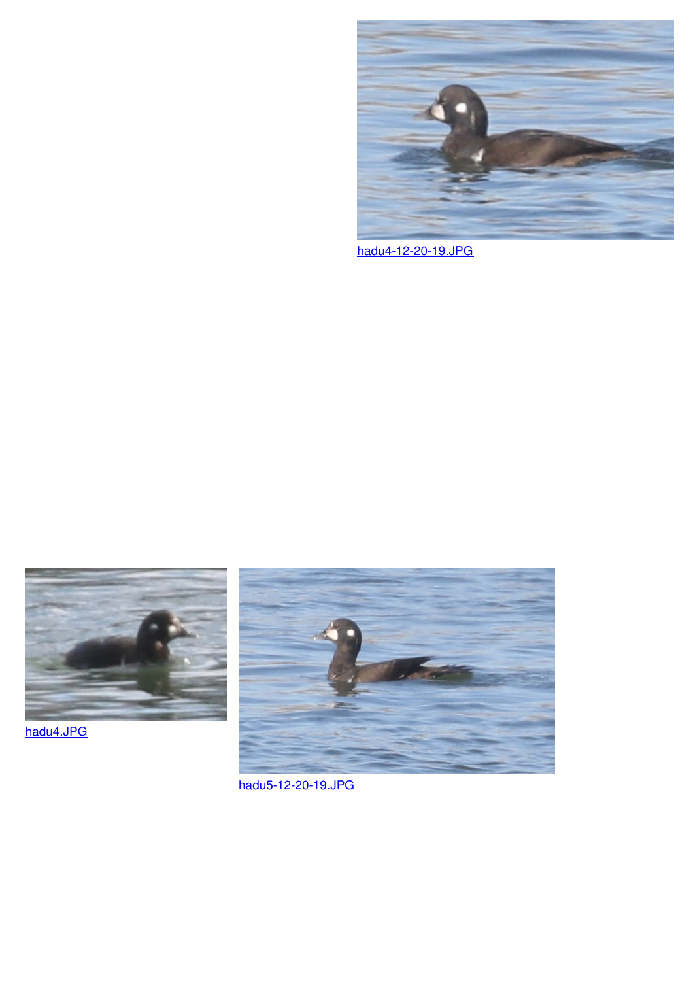

[hadu4-12-20-19.JPG](https://www.jotform.com/uploads/porcforms/22068006649151/4533131312812472651/hadu4-12-20-19.JPG)



[hadu4.JPG](https://www.jotform.com/uploads/porcforms/22068006649151/4533131312812472651/hadu4.JPG)



[hadu5-12-20-19.JPG](https://www.jotform.com/uploads/porcforms/22068006649151/4533131312812472651/hadu5-12-20-19.JPG)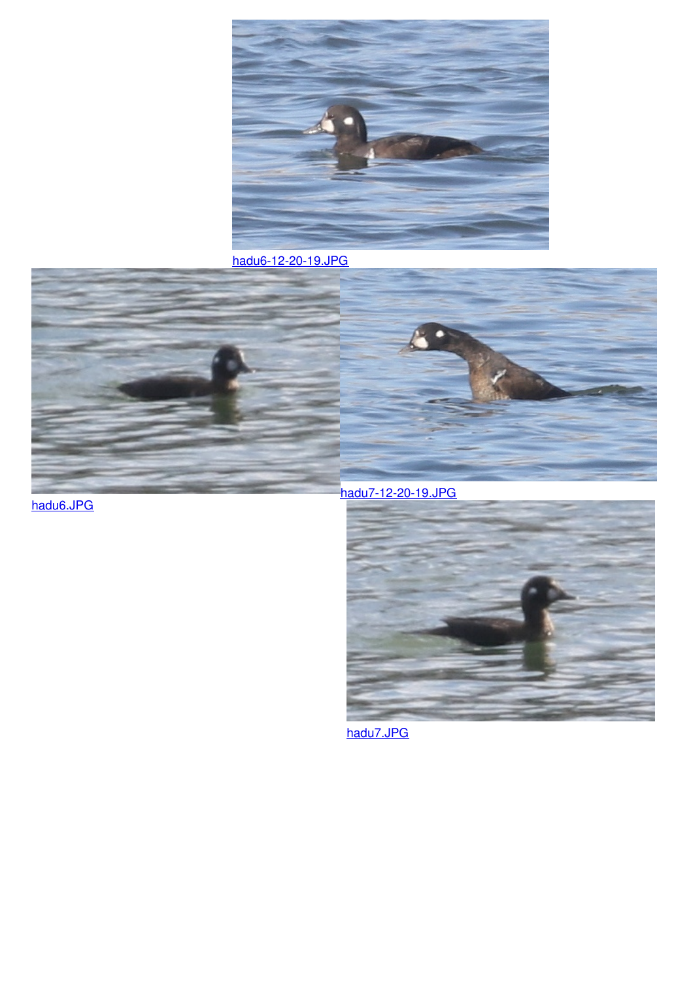

[hadu6-12-20-19.JPG](https://www.jotform.com/uploads/porcforms/22068006649151/4533131312812472651/hadu6-12-20-19.JPG)





[hadu6.JPG](https://www.jotform.com/uploads/porcforms/22068006649151/4533131312812472651/hadu6.JPG)

[hadu7-12-20-19.JPG](https://www.jotform.com/uploads/porcforms/22068006649151/4533131312812472651/hadu7-12-20-19.JPG)



[hadu7.JPG](https://www.jotform.com/uploads/porcforms/22068006649151/4533131312812472651/hadu7.JPG)